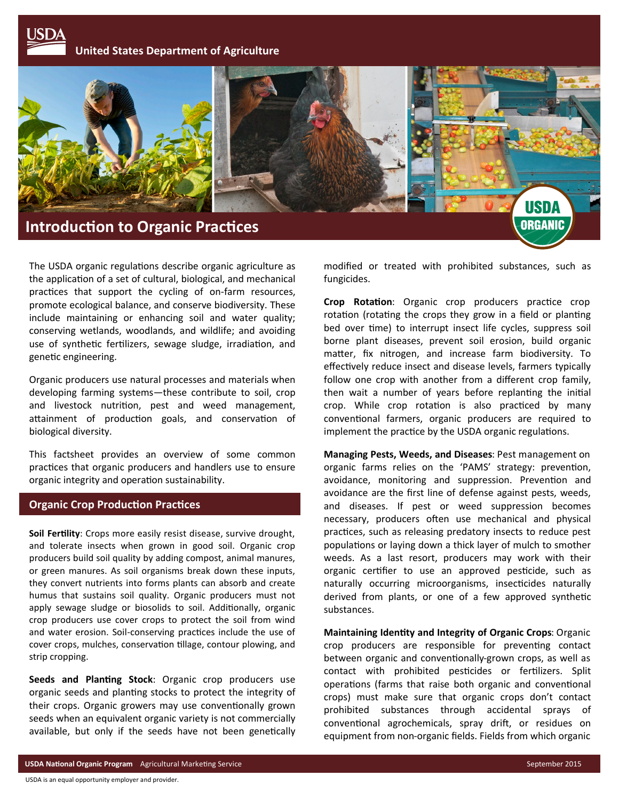**United States Department of Agriculture**



The USDA organic regulations describe organic agriculture as the application of a set of cultural, biological, and mechanical practices that support the cycling of on-farm resources, promote ecological balance, and conserve biodiversity. These include maintaining or enhancing soil and water quality; conserving wetlands, woodlands, and wildlife; and avoiding use of synthetic fertilizers, sewage sludge, irradiation, and genetic engineering.

Organic producers use natural processes and materials when developing farming systems—these contribute to soil, crop and livestock nutrition, pest and weed management, attainment of production goals, and conservation of biological diversity.

This factsheet provides an overview of some common practices that organic producers and handlers use to ensure organic integrity and operation sustainability.

## **Organic Crop Production Practices**

**Soil Fertility**: Crops more easily resist disease, survive drought, and tolerate insects when grown in good soil. Organic crop producers build soil quality by adding compost, animal manures, or green manures. As soil organisms break down these inputs, they convert nutrients into forms plants can absorb and create humus that sustains soil quality. Organic producers must not apply sewage sludge or biosolids to soil. Additionally, organic crop producers use cover crops to protect the soil from wind and water erosion. Soil-conserving practices include the use of cover crops, mulches, conservation tillage, contour plowing, and strip cropping.

**Seeds and Planting Stock**: Organic crop producers use organic seeds and planting stocks to protect the integrity of their crops. Organic growers may use conventionally grown seeds when an equivalent organic variety is not commercially available, but only if the seeds have not been genetically modified or treated with prohibited substances, such as fungicides.

**Crop Rotation**: Organic crop producers practice crop rotation (rotating the crops they grow in a field or planting bed over time) to interrupt insect life cycles, suppress soil borne plant diseases, prevent soil erosion, build organic matter, fix nitrogen, and increase farm biodiversity. To effectively reduce insect and disease levels, farmers typically follow one crop with another from a different crop family, then wait a number of years before replanting the initial crop. While crop rotation is also practiced by many conventional farmers, organic producers are required to implement the practice by the USDA organic regulations.

**Managing Pests, Weeds, and Diseases**: Pest management on organic farms relies on the 'PAMS' strategy: prevention, avoidance, monitoring and suppression. Prevention and avoidance are the first line of defense against pests, weeds, and diseases. If pest or weed suppression becomes necessary, producers often use mechanical and physical practices, such as releasing predatory insects to reduce pest populations or laying down a thick layer of mulch to smother weeds. As a last resort, producers may work with their organic certifier to use an approved pesticide, such as naturally occurring microorganisms, insecticides naturally derived from plants, or one of a few approved synthetic substances.

**Maintaining Identity and Integrity of Organic Crops**: Organic crop producers are responsible for preventing contact between organic and conventionally-grown crops, as well as contact with prohibited pesticides or fertilizers. Split operations (farms that raise both organic and conventional crops) must make sure that organic crops don't contact prohibited substances through accidental sprays of conventional agrochemicals, spray drift, or residues on equipment from non-organic fields. Fields from which organic